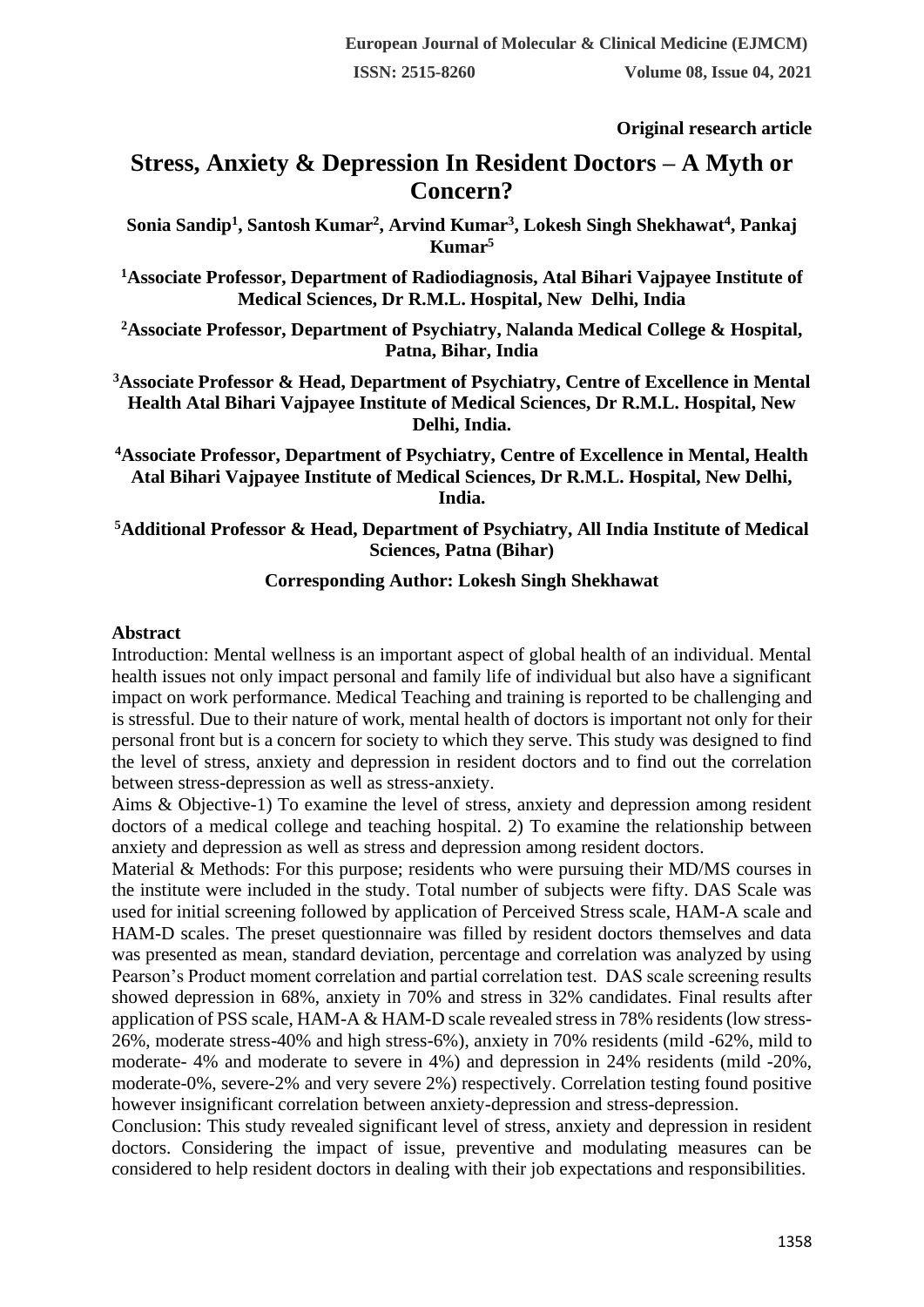**Original research article** 

# **Stress, Anxiety & Depression In Resident Doctors – A Myth or Concern?**

**Sonia Sandip<sup>1</sup> , Santosh Kumar<sup>2</sup> , Arvind Kumar<sup>3</sup> , Lokesh Singh Shekhawat<sup>4</sup> , Pankaj Kumar<sup>5</sup>**

**<sup>1</sup>Associate Professor, Department of Radiodiagnosis, Atal Bihari Vajpayee Institute of Medical Sciences, Dr R.M.L. Hospital, New Delhi, India**

**<sup>2</sup>Associate Professor, Department of Psychiatry, Nalanda Medical College & Hospital, Patna, Bihar, India**

**<sup>3</sup>Associate Professor & Head, Department of Psychiatry, Centre of Excellence in Mental Health Atal Bihari Vajpayee Institute of Medical Sciences, Dr R.M.L. Hospital, New Delhi, India.**

**<sup>4</sup>Associate Professor, Department of Psychiatry, Centre of Excellence in Mental, Health Atal Bihari Vajpayee Institute of Medical Sciences, Dr R.M.L. Hospital, New Delhi, India.**

#### **<sup>5</sup>Additional Professor & Head, Department of Psychiatry, All India Institute of Medical Sciences, Patna (Bihar)**

#### **Corresponding Author: Lokesh Singh Shekhawat**

#### **Abstract**

Introduction: Mental wellness is an important aspect of global health of an individual. Mental health issues not only impact personal and family life of individual but also have a significant impact on work performance. Medical Teaching and training is reported to be challenging and is stressful. Due to their nature of work, mental health of doctors is important not only for their personal front but is a concern for society to which they serve. This study was designed to find the level of stress, anxiety and depression in resident doctors and to find out the correlation between stress-depression as well as stress-anxiety.

Aims & Objective-1) To examine the level of stress, anxiety and depression among resident doctors of a medical college and teaching hospital. 2) To examine the relationship between anxiety and depression as well as stress and depression among resident doctors.

Material & Methods: For this purpose; residents who were pursuing their MD/MS courses in the institute were included in the study. Total number of subjects were fifty. DAS Scale was used for initial screening followed by application of Perceived Stress scale, HAM-A scale and HAM-D scales. The preset questionnaire was filled by resident doctors themselves and data was presented as mean, standard deviation, percentage and correlation was analyzed by using Pearson's Product moment correlation and partial correlation test. DAS scale screening results showed depression in 68%, anxiety in 70% and stress in 32% candidates. Final results after application of PSS scale, HAM-A & HAM-D scale revealed stress in 78% residents (low stress-26%, moderate stress-40% and high stress-6%), anxiety in 70% residents (mild -62%, mild to moderate- 4% and moderate to severe in 4%) and depression in 24% residents (mild -20%, moderate-0%, severe-2% and very severe 2%) respectively. Correlation testing found positive however insignificant correlation between anxiety-depression and stress-depression.

Conclusion: This study revealed significant level of stress, anxiety and depression in resident doctors. Considering the impact of issue, preventive and modulating measures can be considered to help resident doctors in dealing with their job expectations and responsibilities.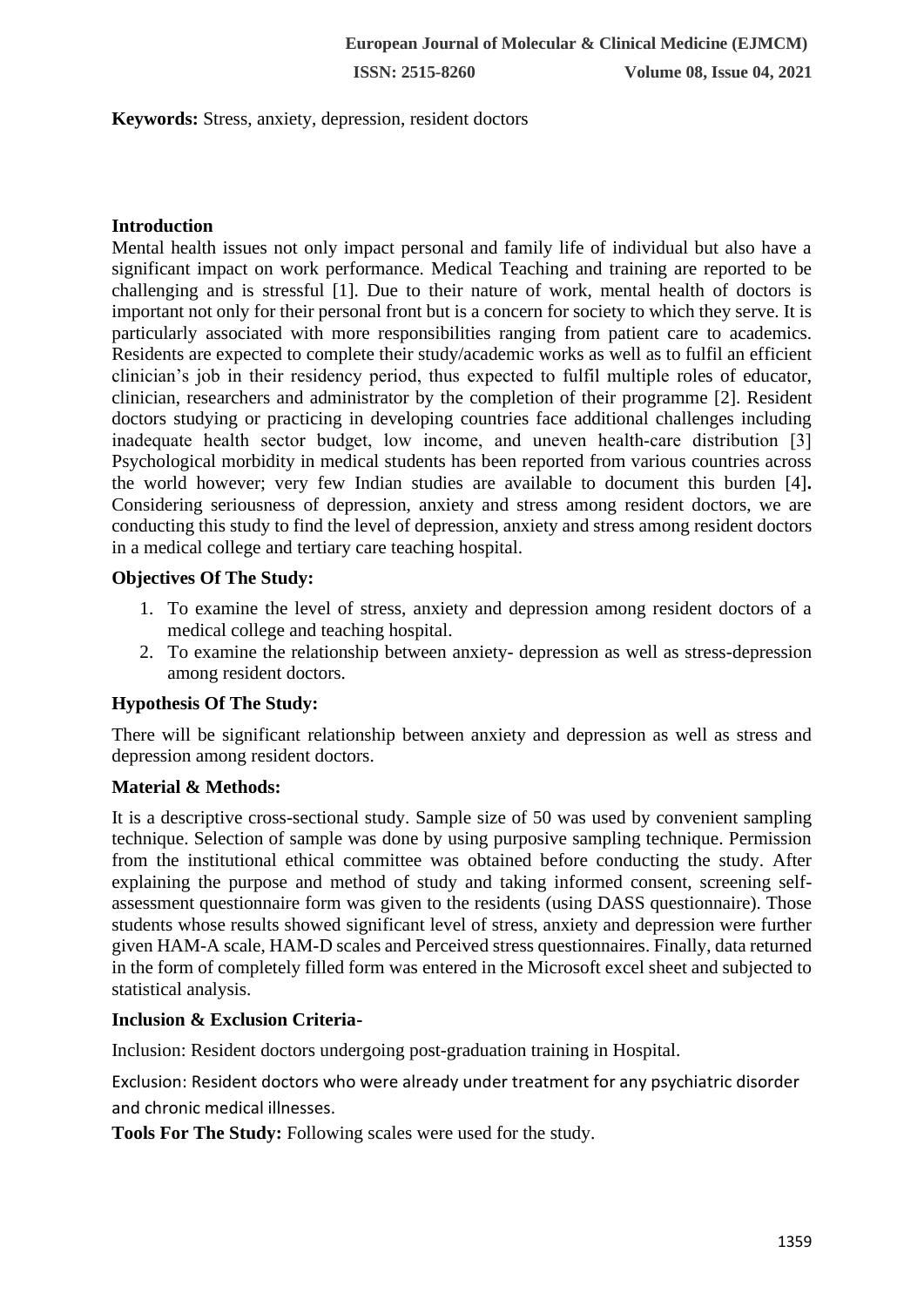**Keywords:** Stress, anxiety, depression, resident doctors

## **Introduction**

Mental health issues not only impact personal and family life of individual but also have a significant impact on work performance. Medical Teaching and training are reported to be challenging and is stressful [1]. Due to their nature of work, mental health of doctors is important not only for their personal front but is a concern for society to which they serve. It is particularly associated with more responsibilities ranging from patient care to academics. Residents are expected to complete their study/academic works as well as to fulfil an efficient clinician's job in their residency period, thus expected to fulfil multiple roles of educator, clinician, researchers and administrator by the completion of their programme [2]. Resident doctors studying or practicing in developing countries face additional challenges including inadequate health sector budget, low income, and uneven health–care distribution [3] Psychological morbidity in medical students has been reported from various countries across the world however; very few Indian studies are available to document this burden [4]**.** Considering seriousness of depression, anxiety and stress among resident doctors, we are conducting this study to find the level of depression, anxiety and stress among resident doctors in a medical college and tertiary care teaching hospital.

#### **Objectives Of The Study:**

- 1. To examine the level of stress, anxiety and depression among resident doctors of a medical college and teaching hospital.
- 2. To examine the relationship between anxiety- depression as well as stress-depression among resident doctors.

## **Hypothesis Of The Study:**

There will be significant relationship between anxiety and depression as well as stress and depression among resident doctors.

## **Material & Methods:**

It is a descriptive cross-sectional study. Sample size of 50 was used by convenient sampling technique. Selection of sample was done by using purposive sampling technique. Permission from the institutional ethical committee was obtained before conducting the study. After explaining the purpose and method of study and taking informed consent, screening selfassessment questionnaire form was given to the residents (using DASS questionnaire). Those students whose results showed significant level of stress, anxiety and depression were further given HAM-A scale, HAM-D scales and Perceived stress questionnaires. Finally, data returned in the form of completely filled form was entered in the Microsoft excel sheet and subjected to statistical analysis.

## **Inclusion & Exclusion Criteria-**

Inclusion: Resident doctors undergoing post-graduation training in Hospital.

Exclusion: Resident doctors who were already under treatment for any psychiatric disorder and chronic medical illnesses.

**Tools For The Study:** Following scales were used for the study.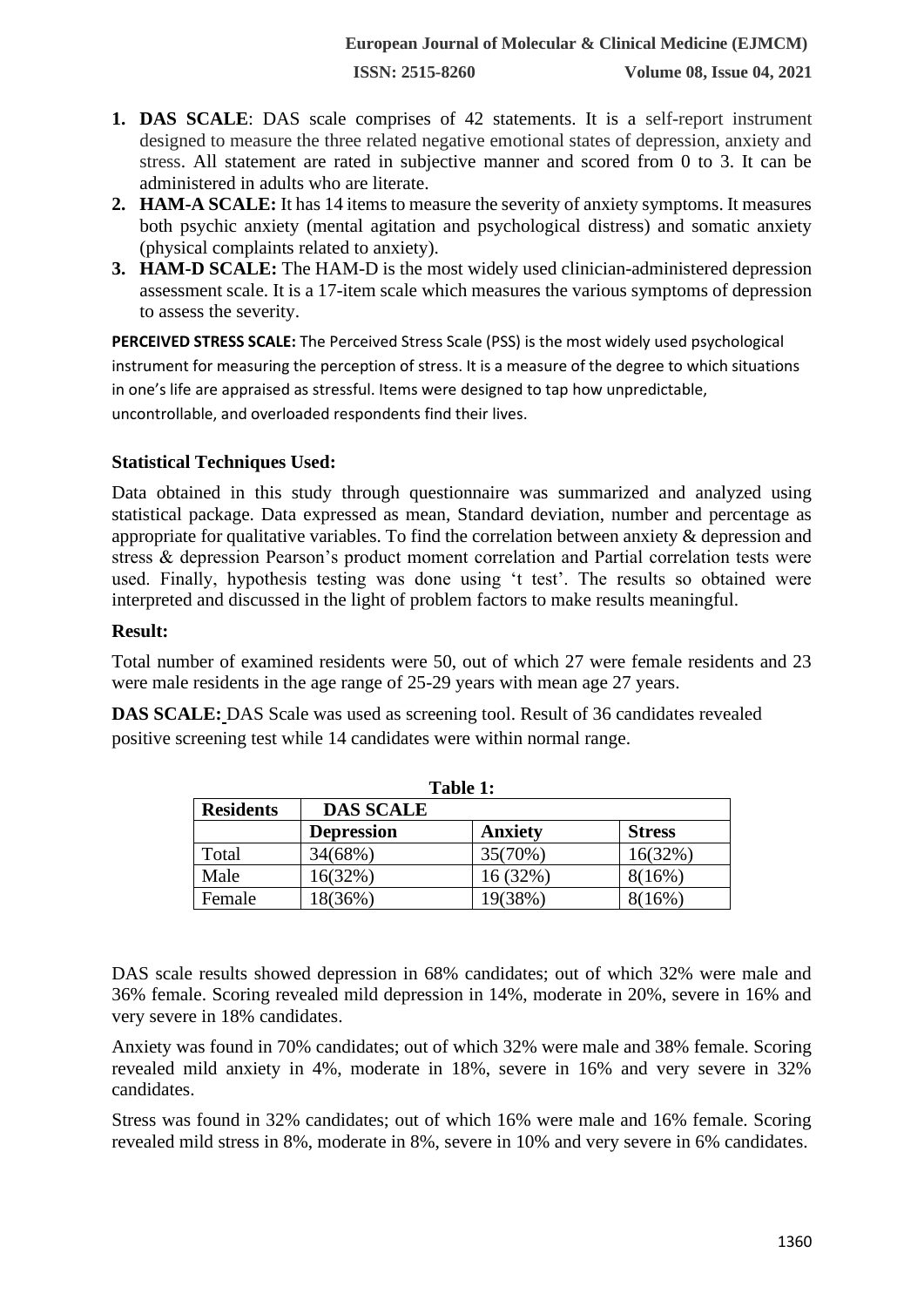- **1. DAS SCALE**: DAS scale comprises of 42 statements. It is a self-report instrument designed to measure the three related negative emotional states of depression, anxiety and stress. All statement are rated in subjective manner and scored from 0 to 3. It can be administered in adults who are literate.
- **2. HAM-A SCALE:** It has 14 items to measure the severity of anxiety symptoms. It measures both psychic anxiety (mental agitation and psychological distress) and somatic anxiety (physical complaints related to anxiety).
- **3. HAM-D SCALE:** The HAM-D is the most widely used clinician-administered depression assessment scale. It is a 17-item scale which measures the various symptoms of depression to assess the severity.

**PERCEIVED STRESS SCALE:** The Perceived Stress Scale (PSS) is the most widely used psychological instrument for measuring the perception of stress. It is a measure of the degree to which situations in one's life are appraised as stressful. Items were designed to tap how unpredictable, uncontrollable, and overloaded respondents find their lives.

## **Statistical Techniques Used:**

Data obtained in this study through questionnaire was summarized and analyzed using statistical package. Data expressed as mean, Standard deviation, number and percentage as appropriate for qualitative variables. To find the correlation between anxiety & depression and stress & depression Pearson's product moment correlation and Partial correlation tests were used. Finally, hypothesis testing was done using 't test'. The results so obtained were interpreted and discussed in the light of problem factors to make results meaningful.

#### **Result:**

Total number of examined residents were 50, out of which 27 were female residents and 23 were male residents in the age range of 25-29 years with mean age 27 years.

**DAS SCALE:** DAS Scale was used as screening tool. Result of 36 candidates revealed positive screening test while 14 candidates were within normal range.

| Table 1:         |                   |                |               |
|------------------|-------------------|----------------|---------------|
| <b>Residents</b> | <b>DAS SCALE</b>  |                |               |
|                  | <b>Depression</b> | <b>Anxiety</b> | <b>Stress</b> |
| Total            | 34(68%)           | 35(70%)        | 16(32%)       |
| Male             | 16(32%)           | 16(32%)        | 8(16%)        |
| Female           | 18(36%)           | 19(38%)        | 8(16%)        |

DAS scale results showed depression in 68% candidates; out of which 32% were male and 36% female. Scoring revealed mild depression in 14%, moderate in 20%, severe in 16% and very severe in 18% candidates.

Anxiety was found in 70% candidates; out of which 32% were male and 38% female. Scoring revealed mild anxiety in 4%, moderate in 18%, severe in 16% and very severe in 32% candidates.

Stress was found in 32% candidates; out of which 16% were male and 16% female. Scoring revealed mild stress in 8%, moderate in 8%, severe in 10% and very severe in 6% candidates.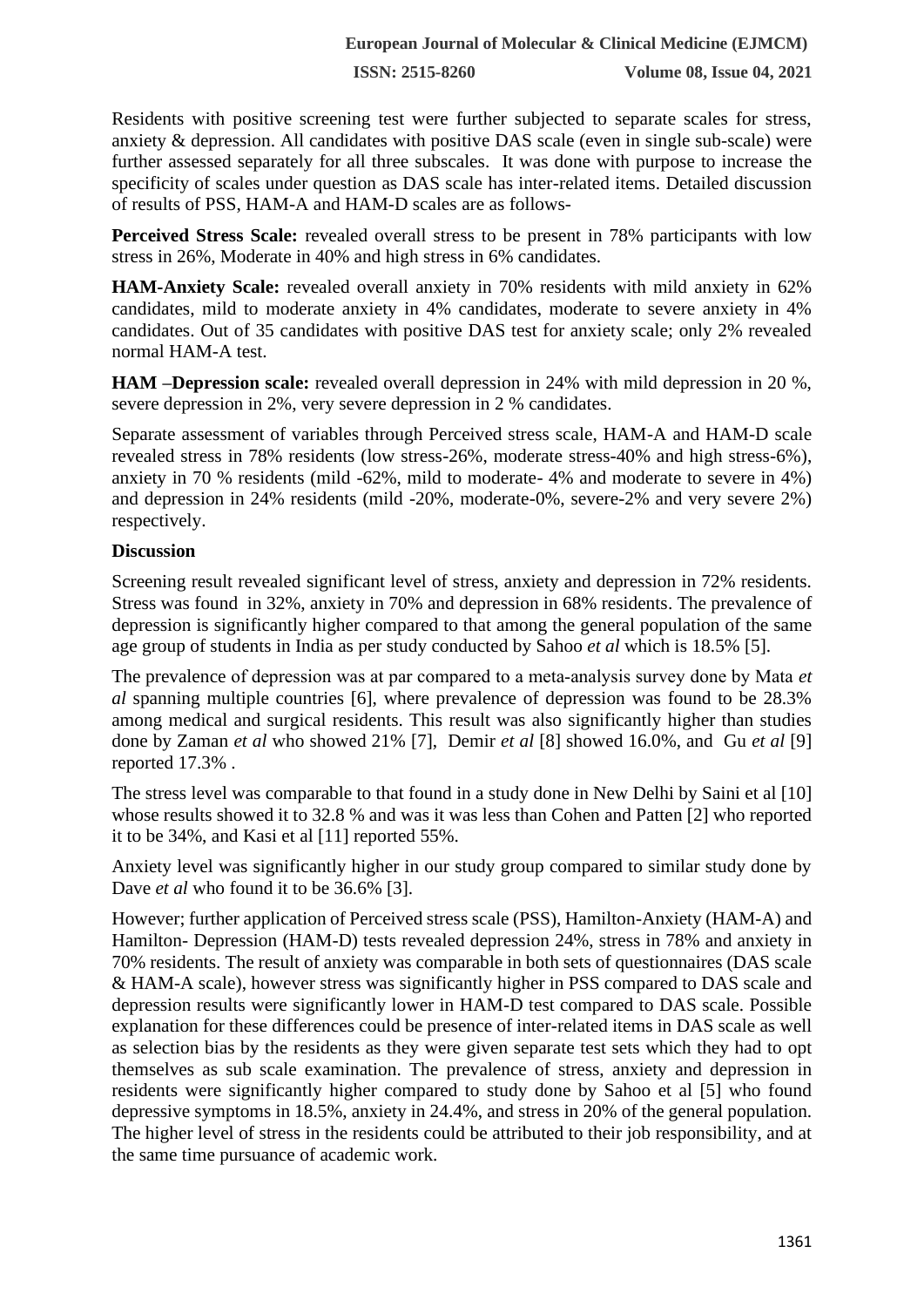**ISSN: 2515-8260 Volume 08, Issue 04, 2021**

Residents with positive screening test were further subjected to separate scales for stress, anxiety & depression. All candidates with positive DAS scale (even in single sub-scale) were further assessed separately for all three subscales. It was done with purpose to increase the specificity of scales under question as DAS scale has inter-related items. Detailed discussion of results of PSS, HAM-A and HAM-D scales are as follows-

**Perceived Stress Scale:** revealed overall stress to be present in 78% participants with low stress in 26%, Moderate in 40% and high stress in 6% candidates.

**HAM-Anxiety Scale:** revealed overall anxiety in 70% residents with mild anxiety in 62% candidates, mild to moderate anxiety in 4% candidates, moderate to severe anxiety in 4% candidates. Out of 35 candidates with positive DAS test for anxiety scale; only 2% revealed normal HAM-A test.

**HAM –Depression scale:** revealed overall depression in 24% with mild depression in 20 %, severe depression in 2%, very severe depression in 2 % candidates.

Separate assessment of variables through Perceived stress scale, HAM-A and HAM-D scale revealed stress in 78% residents (low stress-26%, moderate stress-40% and high stress-6%), anxiety in 70 % residents (mild -62%, mild to moderate- 4% and moderate to severe in 4%) and depression in 24% residents (mild -20%, moderate-0%, severe-2% and very severe 2%) respectively.

#### **Discussion**

Screening result revealed significant level of stress, anxiety and depression in 72% residents. Stress was found in 32%, anxiety in 70% and depression in 68% residents. The prevalence of depression is significantly higher compared to that among the general population of the same age group of students in India as per study conducted by Sahoo *et al* which is 18.5% [5].

The prevalence of depression was at par compared to a meta‑analysis survey done by Mata *et al* spanning multiple countries [6], where prevalence of depression was found to be 28.3% among medical and surgical residents. This result was also significantly higher than studies done by Zaman *et al* who showed 21% [7], Demir *et al* [8] showed 16.0%, and Gu *et al* [9] reported 17.3% .

The stress level was comparable to that found in a study done in New Delhi by Saini et al [10] whose results showed it to 32.8 % and was it was less than Cohen and Patten [2] who reported it to be 34%, and Kasi et al [11] reported 55%.

Anxiety level was significantly higher in our study group compared to similar study done by Dave *et al* who found it to be 36.6% [3].

However; further application of Perceived stress scale (PSS), Hamilton-Anxiety (HAM-A) and Hamilton- Depression (HAM-D) tests revealed depression 24%, stress in 78% and anxiety in 70% residents. The result of anxiety was comparable in both sets of questionnaires (DAS scale & HAM-A scale), however stress was significantly higher in PSS compared to DAS scale and depression results were significantly lower in HAM-D test compared to DAS scale. Possible explanation for these differences could be presence of inter-related items in DAS scale as well as selection bias by the residents as they were given separate test sets which they had to opt themselves as sub scale examination. The prevalence of stress, anxiety and depression in residents were significantly higher compared to study done by Sahoo et al [5] who found depressive symptoms in 18.5%, anxiety in 24.4%, and stress in 20% of the general population. The higher level of stress in the residents could be attributed to their job responsibility, and at the same time pursuance of academic work.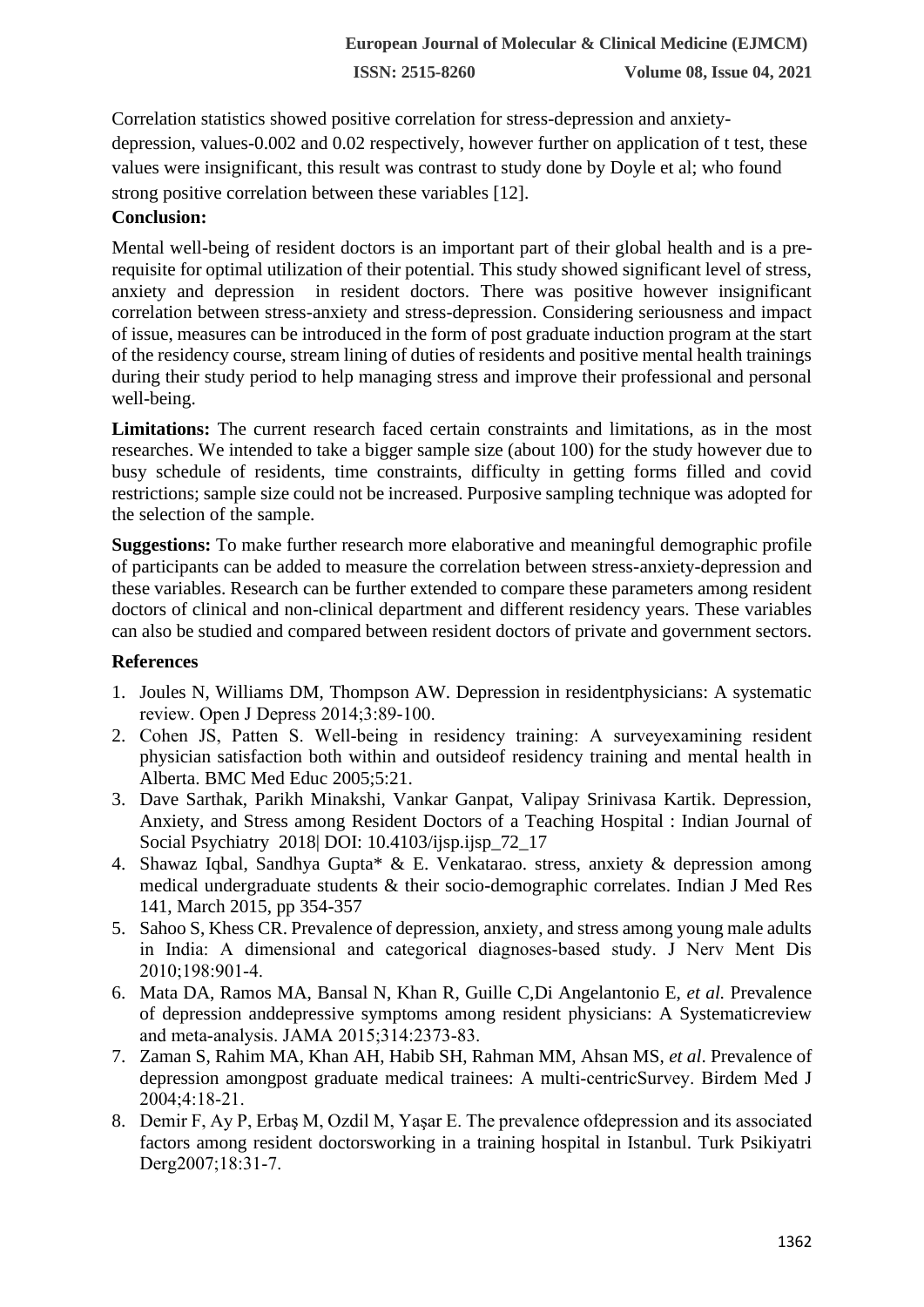Correlation statistics showed positive correlation for stress-depression and anxietydepression, values-0.002 and 0.02 respectively, however further on application of t test, these values were insignificant, this result was contrast to study done by Doyle et al; who found strong positive correlation between these variables [12].

## **Conclusion:**

Mental well-being of resident doctors is an important part of their global health and is a prerequisite for optimal utilization of their potential. This study showed significant level of stress, anxiety and depression in resident doctors. There was positive however insignificant correlation between stress-anxiety and stress-depression. Considering seriousness and impact of issue, measures can be introduced in the form of post graduate induction program at the start of the residency course, stream lining of duties of residents and positive mental health trainings during their study period to help managing stress and improve their professional and personal well-being.

**Limitations:** The current research faced certain constraints and limitations, as in the most researches. We intended to take a bigger sample size (about 100) for the study however due to busy schedule of residents, time constraints, difficulty in getting forms filled and covid restrictions; sample size could not be increased. Purposive sampling technique was adopted for the selection of the sample.

**Suggestions:** To make further research more elaborative and meaningful demographic profile of participants can be added to measure the correlation between stress-anxiety-depression and these variables. Research can be further extended to compare these parameters among resident doctors of clinical and non-clinical department and different residency years. These variables can also be studied and compared between resident doctors of private and government sectors.

# **References**

- 1. Joules N, Williams DM, Thompson AW. Depression in residentphysicians: A systematic review. Open J Depress 2014;3:89-100.
- 2. Cohen JS, Patten S. Well-being in residency training: A surveyexamining resident physician satisfaction both within and outsideof residency training and mental health in Alberta. BMC Med Educ 2005;5:21.
- 3. Dave Sarthak, Parikh Minakshi, Vankar Ganpat, Valipay Srinivasa Kartik. Depression, Anxiety, and Stress among Resident Doctors of a Teaching Hospital : Indian Journal of Social Psychiatry 2018| DOI: 10.4103/ijsp.ijsp\_72\_17
- 4. Shawaz Iqbal, Sandhya Gupta\* & E. Venkatarao. stress, anxiety & depression among medical undergraduate students & their socio-demographic correlates. Indian J Med Res 141, March 2015, pp 354-357
- 5. Sahoo S, Khess CR. Prevalence of depression, anxiety, and stress among young male adults in India: A dimensional and categorical diagnoses-based study. J Nerv Ment Dis 2010;198:901‑4.
- 6. Mata DA, Ramos MA, Bansal N, Khan R, Guille C,Di Angelantonio E, *et al.* Prevalence of depression anddepressive symptoms among resident physicians: A Systematicreview and meta‑analysis. JAMA 2015;314:2373‑83.
- 7. Zaman S, Rahim MA, Khan AH, Habib SH, Rahman MM, Ahsan MS, *et al*. Prevalence of depression amongpost graduate medical trainees: A multi‑centricSurvey. Birdem Med J 2004;4:18‑21.
- 8. Demir F, Ay P, Erbaş M, Ozdil M, Yaşar E. The prevalence ofdepression and its associated factors among resident doctorsworking in a training hospital in Istanbul. Turk Psikiyatri Derg2007;18:31-7.